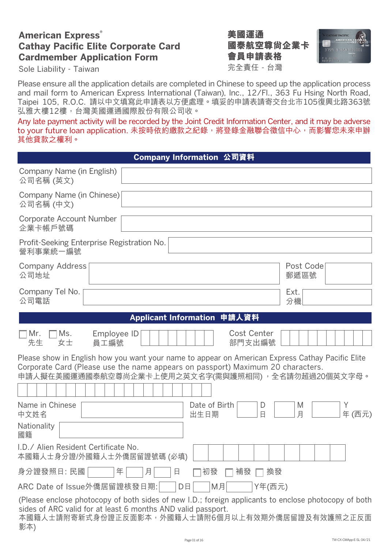# **American Express**® **Cathay Pacific Elite Corporate Card Cardmember Application Form**

完全責任 - 台灣 **美國運通 國泰航空尊尚企業卡 會員申請表格**



Sole Liability - Taiwan

Please ensure all the application details are completed in Chinese to speed up the application process and mail form to American Express International (Taiwan), Inc., 12/Fl., 363 Fu Hsing North Road, Taipei 105, R.O.C. 請以中文填寫此申請表以方便處理。填妥的申請表請寄交台北市105復興北路363號 弘雅大樓12樓,台灣美國運通國際股份有限公司收。

Any late payment activity will be recorded by the Joint Credit Information Center, and it may be adverse to your future loan application. 未按時依約繳款之紀錄,將登錄金融聯合徵信中心,而影響您未來申辦 其他貸款之權利。

| Company Information 公司資料                                                                                                                                                                                                                 |
|------------------------------------------------------------------------------------------------------------------------------------------------------------------------------------------------------------------------------------------|
| Company Name (in English)<br>公司名稱 (英文)                                                                                                                                                                                                   |
| Company Name (in Chinese)<br>公司名稱 (中文)                                                                                                                                                                                                   |
| Corporate Account Number<br>企業卡帳戶號碼                                                                                                                                                                                                      |
| Profit-Seeking Enterprise Registration No.<br>營利事業統一編號                                                                                                                                                                                   |
| Post Code<br><b>Company Address</b><br>公司地址<br>郵遞區號                                                                                                                                                                                      |
| Company Tel No.<br>Ext.<br>公司電話<br>分機                                                                                                                                                                                                    |
| Applicant Information 申請人資料                                                                                                                                                                                                              |
| Mr.<br><b>Cost Center</b><br>Ms.<br>Employee ID<br>先生<br>女士<br>部門支出編號<br>員工編號                                                                                                                                                            |
| Please show in English how you want your name to appear on American Express Cathay Pacific Elite<br>Corporate Card (Please use the name appears on passport) Maximum 20 characters.<br>申請人擬在美國運通國泰航空尊尚企業卡上使用之英文名字(需與護照相同),全名請勿超過20個英文字母。 |
| Name in Chinese<br>Date of Birth<br>M<br>D<br>$\Box$<br>月<br>年(西元)<br>中文姓名<br>出生日期                                                                                                                                                       |
| Nationality<br>國籍                                                                                                                                                                                                                        |
| I.D./ Alien Resident Certificate No.<br>本國籍人士身分證/外國籍人士外僑居留證號碼 (必填)                                                                                                                                                                       |
| 身分證發照日: 民國<br>初發<br>補發<br>換發<br>年<br>月<br>日                                                                                                                                                                                              |
| ARC Date of Issue外僑居留證核發日期:<br>M月<br>Y年(西元)<br>DE                                                                                                                                                                                        |
| (Please enclose photocopy of both sides of new I.D.; foreign applicants to enclose photocopy of both<br>sides of ARC valid for at least 6 months AND valid passport.<br>本國籍人士請附寄新式身份證正反面影本,外國籍人士請附6個月以上有效期外僑居留證及有效護照之正反面<br>影本)          |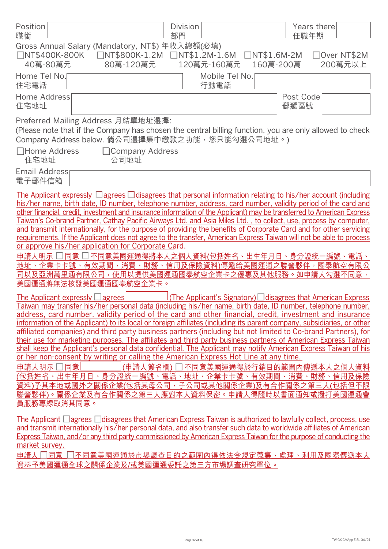| Position<br>職銜                                                                                                                                                                                                                                                                                                                                                                                                                                                                                                                                                                                                                                                                                                                                                                                                                                                                                                                                                                                                                                                                                                                                               | <b>Division</b><br>部門  | Years there<br>任職年期                                                                                           |
|--------------------------------------------------------------------------------------------------------------------------------------------------------------------------------------------------------------------------------------------------------------------------------------------------------------------------------------------------------------------------------------------------------------------------------------------------------------------------------------------------------------------------------------------------------------------------------------------------------------------------------------------------------------------------------------------------------------------------------------------------------------------------------------------------------------------------------------------------------------------------------------------------------------------------------------------------------------------------------------------------------------------------------------------------------------------------------------------------------------------------------------------------------------|------------------------|---------------------------------------------------------------------------------------------------------------|
| Gross Annual Salary (Mandatory, NT\$) 年收入總額(必填)<br>80萬-120萬元<br>40萬-80萬元                                                                                                                                                                                                                                                                                                                                                                                                                                                                                                                                                                                                                                                                                                                                                                                                                                                                                                                                                                                                                                                                                     | 120萬元-160萬元            | □Over NT\$2M<br>$UNTS1.6M-2M$<br>200萬元以上<br>160萬-200萬                                                         |
| Home Tel No.<br>住宅電話                                                                                                                                                                                                                                                                                                                                                                                                                                                                                                                                                                                                                                                                                                                                                                                                                                                                                                                                                                                                                                                                                                                                         | Mobile Tel No.<br>行動電話 |                                                                                                               |
| Home Address<br>住宅地址                                                                                                                                                                                                                                                                                                                                                                                                                                                                                                                                                                                                                                                                                                                                                                                                                                                                                                                                                                                                                                                                                                                                         |                        | Post Code<br>郵遞區號                                                                                             |
| Preferred Mailing Address 月結單地址選擇:<br>(Please note that if the Company has chosen the central billing function, you are only allowed to check<br>Company Address below. 倘公司選擇集中繳款之功能, 您只能勾選公司地址。)                                                                                                                                                                                                                                                                                                                                                                                                                                                                                                                                                                                                                                                                                                                                                                                                                                                                                                                                                            |                        |                                                                                                               |
| □Home Address<br>□ Company Address<br>住宅地址<br>公司地址                                                                                                                                                                                                                                                                                                                                                                                                                                                                                                                                                                                                                                                                                                                                                                                                                                                                                                                                                                                                                                                                                                           |                        |                                                                                                               |
| Email Address<br>電子郵件信箱                                                                                                                                                                                                                                                                                                                                                                                                                                                                                                                                                                                                                                                                                                                                                                                                                                                                                                                                                                                                                                                                                                                                      |                        |                                                                                                               |
| The Applicant expressly $\Box$ agrees $\Box$ disagrees that personal information relating to his/her account (including<br>his/her name, birth date, ID number, telephone number, address, card number, validity period of the card and<br>other financial, credit, investment and insurance information of the Applicant) may be transferred to American Express<br>Taiwan's Co-brand Partner, Cathay Pacific Airways Ltd. and Asia Miles Ltd., to collect, use, process by computer,<br>and transmit internationally, for the purpose of providing the benefits of Corporate Card and for other servicing<br>requirements. If the Applicant does not agree to the transfer, American Express Taiwan will not be able to process<br>or approve his/her application for Corporate Card.<br>申請人明示 □ 同意 □ 不同意美國運通得將本人之個人 <u>資料(包括姓名、出生年月日、身分證統一編號、電話、</u><br>地址、企業卡卡號、有效期間、消費、財務、信用及保險資料)傳遞給美國運通之聯營夥伴,國泰航空有限公<br>司以及亞洲萬里通有限公司,使用以提供美國運通國泰航空企業卡之優惠及其他服務。如申請人勾選不同意,<br>美國運通將無法核發美國運通國泰航空企業卡。                                                                                                                                                                     |                        |                                                                                                               |
| The Applicant expressly $\Box$ agrees!<br>Taiwan may transfer his/her personal data (including his/her name, birth date, ID number, telephone number,<br>address, card number, validity period of the card and other financial, credit, investment and insurance<br>information of the Applicant) to its local or foreign affiliates (including its parent company, subsidiaries, or other<br>affiliated companies) and third party business partners (including but not limited to Co-brand Partners), for<br>their use for marketing purposes. The affiliates and third party business partners of American Express Taiwan<br>shall keep the Applicant's personal data confidential. The Applicant may notify American Express Taiwan of his<br>or her non-consent by writing or calling the American Express Hot Line at any time.<br>申請人明示 口同意<br>(包括姓名、出生年月日、身分證統一編號、電話、地址、企業卡卡號、有效期間、消費、財務、信用及保險<br>資料)予其本地或國外之關係企業(包括其母公司、子公司或其他關係企業)及有合作關係之第三人(包括但不限<br>聯營夥伴)。關係企業及有合作關係之第三人應對本人資料保密。申請人得隨時以書面通知或撥打美國運通會<br>員服務專線取消其同意。<br>The Applicant $\Box$ agrees $\Box$ disagrees that American Express Taiwan is authorized to lawfully collect, process, use |                        | <u>I(The Applicant's Signatory)</u> □ disagrees that American Express<br>(申請人簽名欄) □ 不同意美國運通得於行銷目的範圍內傳遞本人之個人資料 |
| and transmit internationally his/her personal data, and also transfer such data to worldwide affiliates of American<br>Express Taiwan, and/or any third party commissioned by American Express Taiwan for the purpose of conducting the<br>market survey.<br>申請人 □同意 □不同意美國運通於市場調查目的之範圍內得依法今規定蒐集、處理、利用及國際傳遞本人<br>資料予美國運通全球之關係企業及/或美國運通委託之第三方市場調查研究單位。                                                                                                                                                                                                                                                                                                                                                                                                                                                                                                                                                                                                                                                                                                                                                                                                        |                        |                                                                                                               |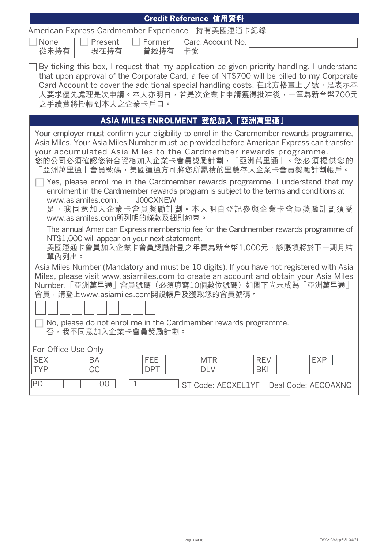| Credit Reference 信用資料                                                                                                                                                                                                                                                                                                                                                                                                                                                                                                                                                                                                                                                                                                                |  |  |  |
|--------------------------------------------------------------------------------------------------------------------------------------------------------------------------------------------------------------------------------------------------------------------------------------------------------------------------------------------------------------------------------------------------------------------------------------------------------------------------------------------------------------------------------------------------------------------------------------------------------------------------------------------------------------------------------------------------------------------------------------|--|--|--|
| American Express Cardmember Experience 持有美國運通卡紀錄                                                                                                                                                                                                                                                                                                                                                                                                                                                                                                                                                                                                                                                                                     |  |  |  |
| $\Box$ None<br>$\Box$ Present $\Box$ Former<br>Card Account No.<br>從未持有<br>現在持有<br>曾經持有<br>卡號                                                                                                                                                                                                                                                                                                                                                                                                                                                                                                                                                                                                                                        |  |  |  |
| By ticking this box, I request that my application be given priority handling. I understand<br>that upon approval of the Corporate Card, a fee of NT\$700 will be billed to my Corporate<br>Card Account to cover the additional special handling costs. 在此方格畫上√號, 是表示本<br>人要求優先處理是次申請。本人亦明白,若是次企業卡申請獲得批准後,一筆為新台幣700元<br>之手續費將掛帳到本人之企業卡戶口。                                                                                                                                                                                                                                                                                                                                                                                           |  |  |  |
| ASIA MILES ENROLMENT 登記加入「亞洲萬里通」                                                                                                                                                                                                                                                                                                                                                                                                                                                                                                                                                                                                                                                                                                     |  |  |  |
| Your employer must confirm your eligibility to enrol in the Cardmember rewards programme,<br>Asia Miles. Your Asia Miles Number must be provided before American Express can transfer<br>your accumulated Asia Miles to the Cardmember rewards programme.<br>您的公司必須確認您符合資格加入企業卡會員獎勵計劃,「亞洲萬里通」。您必須提供您的<br>「亞洲萬里通」會員號碼,美國運通方可將您所累積的里數存入企業卡會員獎勵計劃帳戶。<br>Yes, please enrol me in the Cardmember rewards programme. I understand that my<br>enrolment in the Cardmember rewards program is subject to the terms and conditions at<br><b>J00CXNEW</b><br>www.asiamiles.com.<br>是,我同意加入企業卡會員獎勵計劃。本人明白登記參與企業卡會員獎勵計劃須受<br>www.asiamiles.com所列明的條款及細則約束。<br>The annual American Express membership fee for the Cardmember rewards programme of |  |  |  |
| NT\$1,000 will appear on your next statement.<br>美國運通卡會員加入企業卡會員獎勵計劃之年費為新台幣1,000元,該賬項將於下一期月結<br>單內列出。                                                                                                                                                                                                                                                                                                                                                                                                                                                                                                                                                                                                                                 |  |  |  |
| Asia Miles Number (Mandatory and must be 10 digits). If you have not registered with Asia<br>Miles, please visit www.asiamiles.com to create an account and obtain your Asia Miles<br>Number.「亞洲萬里通」會員號碼(必須填寫10個數位號碼)如閣下尚未成為「亞洲萬里通」<br>會員,請登上www.asiamiles.com開設帳戶及獲取您的會員號碼。<br>No, please do not enrol me in the Cardmember rewards programme.<br>否,我不同意加入企業卡會員獎勵計劃。                                                                                                                                                                                                                                                                                                                                                                |  |  |  |
| For Office Use Only                                                                                                                                                                                                                                                                                                                                                                                                                                                                                                                                                                                                                                                                                                                  |  |  |  |
| <b>SEX</b><br>FEE<br><b>MTR</b><br><b>EXP</b><br><b>REV</b><br>BA<br><b>CC</b><br><b>TYP</b><br><b>DPT</b><br><b>DLV</b><br><b>BKI</b>                                                                                                                                                                                                                                                                                                                                                                                                                                                                                                                                                                                               |  |  |  |
| PD<br>00<br>1<br>ST Code: AECXEL1YF  Deal Code: AECOAXNO                                                                                                                                                                                                                                                                                                                                                                                                                                                                                                                                                                                                                                                                             |  |  |  |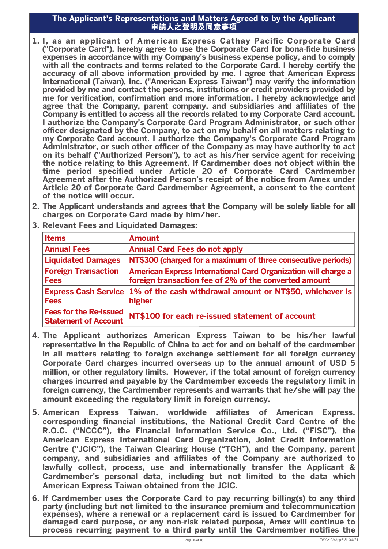#### **The Applicant's Representations and Matters Agreed to by the Applicant**  ttations and matters Agreed to by the Applicant<br>申請人之聲明及同意事項

- **1. I, as an applicant of American Express Cathay Pacic Corporate Card** ("Corporate Card"), hereby agree to use the Corporate Card for bona-fide business **expenses in accordance with my Company's business expense policy, and to comply with all the contracts and terms related to the Corporate Card. I hereby certify the accuracy of all above information provided by me. I agree that American Express International (Taiwan), Inc. ("American Express Taiwan") may verify the information provided by me and contact the persons, institutions or credit providers provided by me for verification, confirmation and more information. I hereby acknowledge and** agree that the Company, parent company, and subsidiaries and affiliates of the **Company is entitled to access all the records related to my Corporate Card account. I authorize the Company's Corporate Card Program Administrator, or such other ocer designated by the Company, to act on my behalf on all matters relating to my Corporate Card account. I authorize the Company's Corporate Card Program**  Administrator, or such other officer of the Company as may have authority to act **on its behalf ("Authorized Person"), to act as his/her service agent for receiving the notice relating to this Agreement. If Cardmember does not object within the**  time period specified under Article 20 of Corporate Card Cardmember **Agreement after the Authorized Person's receipt of the notice from Amex under Article 20 of Corporate Card Cardmember Agreement, a consent to the content of the notice will occur.**
- **2. The Applicant understands and agrees that the Company will be solely liable for all charges on Corporate Card made by him/her.**
- **3. Relevant Fees and Liquidated Damages:**

| <b>Items</b>                                                 | <b>Amount</b>                                                                                                           |
|--------------------------------------------------------------|-------------------------------------------------------------------------------------------------------------------------|
| <b>Annual Fees</b>                                           | <b>Annual Card Fees do not apply</b>                                                                                    |
| <b>Liquidated Damages</b>                                    | NT\$300 (charged for a maximum of three consecutive periods)                                                            |
| <b>Foreign Transaction</b><br><b>Fees</b>                    | American Express International Card Organization will charge a<br>foreign transaction fee of 2% of the converted amount |
| <b>Express Cash Service</b><br><b>Fees</b>                   | 1% of the cash withdrawal amount or NT\$50, whichever is<br>higher                                                      |
| <b>Fees for the Re-Issued</b><br><b>Statement of Account</b> | NT\$100 for each re-issued statement of account                                                                         |

- **4. The Applicant authorizes American Express Taiwan to be his/her lawful representative in the Republic of China to act for and on behalf of the cardmember in all matters relating to foreign exchange settlement for all foreign currency Corporate Card charges incurred overseas up to the annual amount of USD 5 million, or other regulatory limits. However, if the total amount of foreign currency charges incurred and payable by the Cardmember exceeds the regulatory limit in foreign currency, the Cardmember represents and warrants that he/she will pay the amount exceeding the regulatory limit in foreign currency.**
- **5. American Express Taiwan, worldwide affiliates of American Express, corresponding nancial institutions, the National Credit Card Centre of the R.O.C. ("NCCC"), the Financial Information Service Co., Ltd. ("FISC"), the American Express International Card Organization, Joint Credit Information Centre ("JCIC"), the Taiwan Clearing House ("TCH"), and the Company, parent**  company, and subsidiaries and affiliates of the Company are authorized to **lawfully collect, process, use and internationally transfer the Applicant & Cardmember's personal data, including but not limited to the data which American Express Taiwan obtained from the JCIC.**
- **6. If Cardmember uses the Corporate Card to pay recurring billing(s) to any third party (including but not limited to the insurance premium and telecommunication expenses), where a renewal or a replacement card is issued to Cardmember for damaged card purpose, or any non-risk related purpose, Amex will continue to**  process recurring payment to a third party until the Cardmember notifies the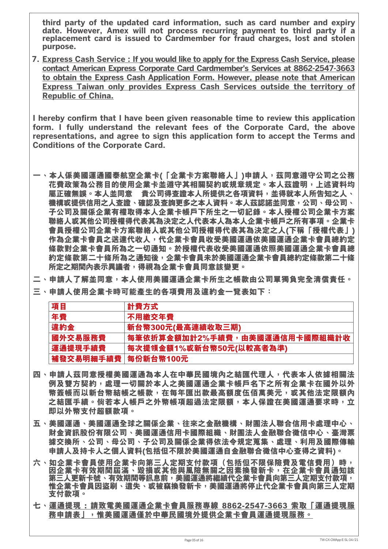**third party of the updated card information, such as card number and expiry date. However, Amex will not process recurring payment to third party if a replacement card is issued to Cardmember for fraud charges, lost and stolen purpose.**

**7. Express Cash Service : If you would like to apply for the Express Cash Service, please contact American Express Corporate Card Cardmember's Services at 8862-2547-3663 to obtain the Express Cash Application Form. However, please note that American Express Taiwan only provides Express Cash Services outside the territory of Republic of China.**

I hereby confirm that I have been given reasonable time to review this application **form. I fully understand the relevant fees of the Corporate Card, the above representations, and agree to sign this application form to accept the Terms and Conditions of the Corporate Card.**

- 一、本人係美國運通國泰航空企業卡(「企業卡方案聯絡人」)申請人,茲同意遵守公司之公務 **花費政策為公務目的使用企業卡並遵守其相關契約或規章規定。本人茲證明,上述資料均 屬正確無誤。本人並同意 貴公司得查證本人所提供之各項資料,並得就本人所告知之人、 機構或提供信用之人查證、確認及查詢更多之本人資料。本人茲認諾並同意,公司、母公司、 子公司及關係企業有權取得本人企業卡帳戶下所生之一切記錄。本人授權公司企業卡方案 聯絡人或其他公司授權得代表其為決定之人代表本人為本人企業卡帳戶之所有事項。企業卡 會員授權公司企業卡方案聯絡人或其他公司授權得代表其為決定之人(下稱「授權代表」) 作為企業卡會員之送達代收人,代企業卡會員收受美國運通依美國運通企業卡會員總約定 條款對企業卡會員所為之一切通知。於授權代表收受美國運通依照美國運通企業卡會員總 約定條款第二十條所為之通知後,企業卡會員未於美國運通企業卡會員總約定條款第二十條 所定之期間內表示異議者,得視為企業卡會員同意該變更。**
- **二、申請人了解並同意,本人使用美國運通企業卡所生之帳款由公司單獨負完全清償責任。**
- **三、申請人使用企業卡時可能產生的各項費用及違約金一覽表如下:**

| 項目                   | 計費方式                          |
|----------------------|-------------------------------|
| 年費                   | 不用繳交年費                        |
| 違約金                  | 新台幣300元(最高連續收取三期)             |
| 國外交易服務費              | 每筆依折算金額加計2%手續費,由美國運通信用卡國際組織計收 |
| 運通提現手續費              | 每次提領金額1%或新台幣50元(以較高者為準)       |
| │補發交易明細手續費│每份新台幣100元 |                               |

- **四、申請人茲同意授權美國運通為本人在中華民國境內之結匯代理人,代表本人依據相關法 例及雙方契約,處理一切關於本人之美國運通企業卡帳戶名下之所有企業卡在國外以外 幣簽帳而以新台幣結帳之帳款,在每年匯出款最高額度伍佰萬美元,或其他法定限額內 之結匯手續。倘若本人帳戶之外幣帳項超過法定限額,本人保證在美國運通要求時,立 即以外幣支付超額款項。**
- **五、美國運通、美國運通全球之關係企業、往來之金融機構、財團法人聯合信用卡處理中心、 財金資訊股份有限公司、美國運通信用卡國際組織、財團法人金融聯合徵信中心、臺灣票 據交換所、公司、母公司、子公司及關係企業得依法令規定蒐集、處理、利用及國際傳輸 申請人及持卡人之個人資料(包括但不限於美國運通自金融聯合徵信中心查得之資料)。**
- **六、如企業卡會員使用企業卡向第三人定期支付款項(包括但不限保險費及電信費用)時, 因企業卡有效期間屆滿、毀損或其他與風險無關之因素換發新卡,在企業卡會員通知該** 第三人更新卡號、有效期間等訊息前,美國運通將繼續代企業卡會員向第三人定期支付款項**, 惟企業卡會員因盜刷、遺失、或被竊換發新卡,美國運通將停止代企業卡會員向第三人定期 支付款項。**
- **七、運通提現 : 請致電美國運通企業卡會員服務專線 8862-2547-3663 索取「運通提現服 務申請表」,惟美國運通僅於中華民國境外提供企業卡會員運通提現服務。**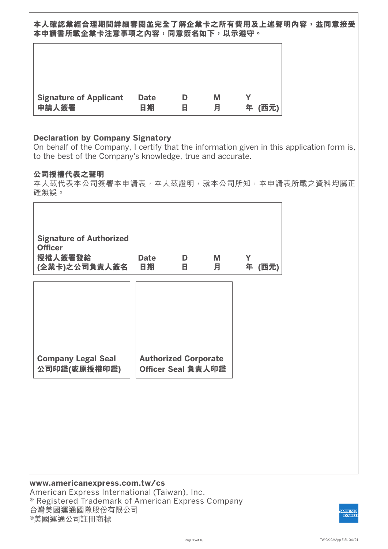**本人確認業經合理期間詳細審閱並完全了解企業卡之所有費用及上述聲明內容,並同意接受 本申請書所載企業卡注意事項之內容,同意簽名如下,以示遵守。** 

| <b>Signature of Applicant</b> | <b>Date</b> | н | Μ | 年    |
|-------------------------------|-------------|---|---|------|
| 申請人簽署                         | 日期          |   | 月 | (西元) |

#### **Declaration by Company Signatory**

On behalf of the Company, I certify that the information given in this application form is, to the best of the Company's knowledge, true and accurate.

#### **公司授權代表之聲明**

 $\Gamma$ 

本人茲代表本公司簽署本申請表,本人茲證明,就本公司所知,本申請表所載之資料均屬正 確無誤。

| <b>Signature of Authorized</b><br><b>Officer</b><br>授權人簽署發給<br>(企業卡)之公司負責人簽名 | <b>Date</b><br>日期 | D<br>В                                            | M<br>月 | Y | 年 (西元) |
|------------------------------------------------------------------------------|-------------------|---------------------------------------------------|--------|---|--------|
|                                                                              |                   |                                                   |        |   |        |
| <b>Company Legal Seal</b><br>公司印鑑(或原授權印鑑)                                    |                   | <b>Authorized Corporate</b><br>Officer Seal 負責人印鑑 |        |   |        |
|                                                                              |                   |                                                   |        |   |        |
|                                                                              |                   |                                                   |        |   |        |
|                                                                              |                   |                                                   |        |   |        |

#### **www.americanexpress.com.tw/cs** American Express International (Taiwan), Inc. ® Registered Trademark of American Express Company 台灣美國運通國際股份有限公司 ®美國運通公司註冊商標

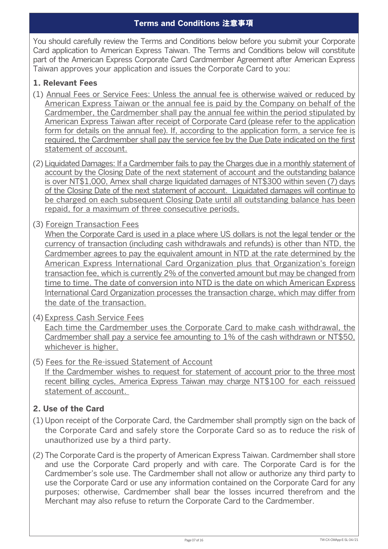You should carefully review the Terms and Conditions below before you submit your Corporate Card application to American Express Taiwan. The Terms and Conditions below will constitute part of the American Express Corporate Card Cardmember Agreement after American Express Taiwan approves your application and issues the Corporate Card to you:

### **1. Relevant Fees**

- (1) Annual Fees or Service Fees: Unless the annual fee is otherwise waived or reduced by American Express Taiwan or the annual fee is paid by the Company on behalf of the Cardmember, the Cardmember shall pay the annual fee within the period stipulated by American Express Taiwan after receipt of Corporate Card (please refer to the application form for details on the annual fee). If, according to the application form, a service fee is required, the Cardmember shall pay the service fee by the Due Date indicated on the first statement of account.
- (2) Liquidated Damages: If a Cardmember fails to pay the Charges due in a monthly statement of account by the Closing Date of the next statement of account and the outstanding balance is over NT\$1,000, Amex shall charge liquidated damages of NT\$300 within seven (7) days of the Closing Date of the next statement of account. Liquidated damages will continue to be charged on each subsequent Closing Date until all outstanding balance has been repaid, for a maximum of three consecutive periods.
- (3) Foreign Transaction Fees

When the Corporate Card is used in a place where US dollars is not the legal tender or the currency of transaction (including cash withdrawals and refunds) is other than NTD, the Cardmember agrees to pay the equivalent amount in NTD at the rate determined by the American Express International Card Organization plus that Organization's foreign transaction fee, which is currently 2% of the converted amount but may be changed from time to time. The date of conversion into NTD is the date on which American Express International Card Organization processes the transaction charge, which may differ from the date of the transaction.

- (4) Express Cash Service Fees Each time the Cardmember uses the Corporate Card to make cash withdrawal, the Cardmember shall pay a service fee amounting to 1% of the cash withdrawn or NT\$50, whichever is higher.
- (5) Fees for the Re-issued Statement of Account If the Cardmember wishes to request for statement of account prior to the three most recent billing cycles, America Express Taiwan may charge NT\$100 for each reissued statement of account.

## **2. Use of the Card**

- (1) Upon receipt of the Corporate Card, the Cardmember shall promptly sign on the back of the Corporate Card and safely store the Corporate Card so as to reduce the risk of unauthorized use by a third party.
- (2) The Corporate Card is the property of American Express Taiwan. Cardmember shall store and use the Corporate Card properly and with care. The Corporate Card is for the Cardmember's sole use. The Cardmember shall not allow or authorize any third party to use the Corporate Card or use any information contained on the Corporate Card for any purposes; otherwise, Cardmember shall bear the losses incurred therefrom and the Merchant may also refuse to return the Corporate Card to the Cardmember.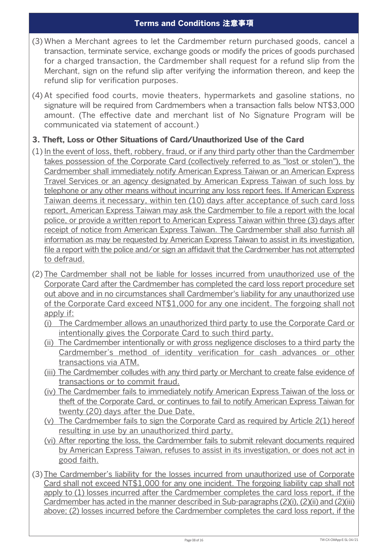- (3) When a Merchant agrees to let the Cardmember return purchased goods, cancel a transaction, terminate service, exchange goods or modify the prices of goods purchased for a charged transaction, the Cardmember shall request for a refund slip from the Merchant, sign on the refund slip after verifying the information thereon, and keep the refund slip for verification purposes.
- (4) At specified food courts, movie theaters, hypermarkets and gasoline stations, no signature will be required from Cardmembers when a transaction falls below NT\$3,000 amount. (The effective date and merchant list of No Signature Program will be communicated via statement of account.)

## **3. Theft, Loss or Other Situations of Card/Unauthorized Use of the Card**

- (1) In the event of loss, theft, robbery, fraud, or if any third party other than the Cardmember takes possession of the Corporate Card (collectively referred to as "lost or stolen"), the Cardmember shall immediately notify American Express Taiwan or an American Express Travel Services or an agency designated by American Express Taiwan of such loss by telephone or any other means without incurring any loss report fees. If American Express Taiwan deems it necessary, within ten (10) days after acceptance of such card loss report, American Express Taiwan may ask the Cardmember to file a report with the local police, or provide a written report to American Express Taiwan within three (3) days after receipt of notice from American Express Taiwan. The Cardmember shall also furnish all information as may be requested by American Express Taiwan to assist in its investigation, file a report with the police and/or sign an affidavit that the Cardmember has not attempted to defraud.
- (2) The Cardmember shall not be liable for losses incurred from unauthorized use of the Corporate Card after the Cardmember has completed the card loss report procedure set out above and in no circumstances shall Cardmember's liability for any unauthorized use of the Corporate Card exceed NT\$1,000 for any one incident. The forgoing shall not apply if:
	- (i) The Cardmember allows an unauthorized third party to use the Corporate Card or intentionally gives the Corporate Card to such third party.
	- (ii) The Cardmember intentionally or with gross negligence discloses to a third party the Cardmember's method of identity verification for cash advances or other transactions via ATM.
	- (iii) The Cardmember colludes with any third party or Merchant to create false evidence of transactions or to commit fraud.
	- (iv) The Cardmember fails to immediately notify American Express Taiwan of the loss or theft of the Corporate Card, or continues to fail to notify American Express Taiwan for twenty (20) days after the Due Date.
	- (v) The Cardmember fails to sign the Corporate Card as required by Article 2(1) hereof resulting in use by an unauthorized third party.
	- (vi) After reporting the loss, the Cardmember fails to submit relevant documents required by American Express Taiwan, refuses to assist in its investigation, or does not act in good faith.
- (3) The Cardmember's liability for the losses incurred from unauthorized use of Corporate Card shall not exceed NT\$1,000 for any one incident. The forgoing liability cap shall not apply to (1) losses incurred after the Cardmember completes the card loss report, if the Cardmember has acted in the manner described in Sub-paragraphs (2)(i), (2)(ii) and (2)(iii) above; (2) losses incurred before the Cardmember completes the card loss report, if the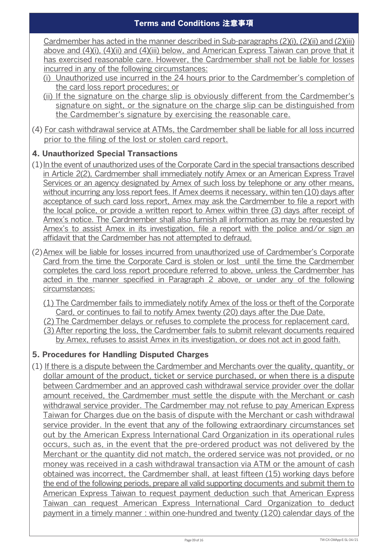Cardmember has acted in the manner described in Sub-paragraphs (2)(i), (2)(ii) and (2)(iii) above and (4)(i), (4)(ii) and (4)(iii) below, and American Express Taiwan can prove that it has exercised reasonable care. However, the Cardmember shall not be liable for losses incurred in any of the following circumstances:

- (i) Unauthorized use incurred in the 24 hours prior to the Cardmember's completion of the card loss report procedures; or
- (ii) If the signature on the charge slip is obviously different from the Cardmember's signature on sight, or the signature on the charge slip can be distinguished from the Cardmember's signature by exercising the reasonable care.
- (4) For cash withdrawal service at ATMs, the Cardmember shall be liable for all loss incurred prior to the filing of the lost or stolen card report.

# **4. Unauthorized Special Transactions**

- (1) In the event of unauthorized uses of the Corporate Card in the special transactions described in Article 2(2), Cardmember shall immediately notify Amex or an American Express Travel Services or an agency designated by Amex of such loss by telephone or any other means, without incurring any loss report fees. If Amex deems it necessary, within ten (10) days after acceptance of such card loss report, Amex may ask the Cardmember to file a report with the local police, or provide a written report to Amex within three (3) days after receipt of Amex's notice. The Cardmember shall also furnish all information as may be requested by Amex's to assist Amex in its investigation, file a report with the police and/or sign an affidavit that the Cardmember has not attempted to defraud.
- (2) Amex will be liable for losses incurred from unauthorized use of Cardmember's Corporate Card from the time the Corporate Card is stolen or lost until the time the Cardmember completes the card loss report procedure referred to above, unless the Cardmember has acted in the manner specified in Paragraph 2 above, or under any of the following circumstances:
	- (1) The Cardmember fails to immediately notify Amex of the loss or theft of the Corporate Card, or continues to fail to notify Amex twenty (20) days after the Due Date.
	- (2) The Cardmember delays or refuses to complete the process for replacement card.
	- (3) After reporting the loss, the Cardmember fails to submit relevant documents required by Amex, refuses to assist Amex in its investigation, or does not act in good faith.

## **5. Procedures for Handling Disputed Charges**

(1) If there is a dispute between the Cardmember and Merchants over the quality, quantity, or dollar amount of the product, ticket or service purchased, or when there is a dispute between Cardmember and an approved cash withdrawal service provider over the dollar amount received, the Cardmember must settle the dispute with the Merchant or cash withdrawal service provider. The Cardmember may not refuse to pay American Express Taiwan for Charges due on the basis of dispute with the Merchant or cash withdrawal service provider. In the event that any of the following extraordinary circumstances set out by the American Express International Card Organization in its operational rules occurs, such as, in the event that the pre-ordered product was not delivered by the Merchant or the quantity did not match, the ordered service was not provided, or no money was received in a cash withdrawal transaction via ATM or the amount of cash obtained was incorrect, the Cardmember shall, at least fifteen (15) working days before the end of the following periods, prepare all valid supporting documents and submit them to American Express Taiwan to request payment deduction such that American Express Taiwan can request American Express International Card Organization to deduct payment in a timely manner : within one-hundred and twenty (120) calendar days of the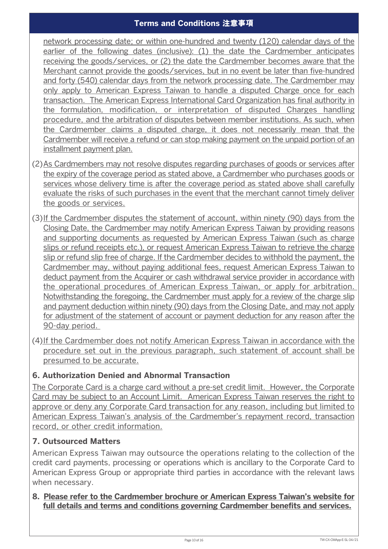network processing date; or within one-hundred and twenty (120) calendar days of the earlier of the following dates (inclusive): (1) the date the Cardmember anticipates receiving the goods/services, or (2) the date the Cardmember becomes aware that the Merchant cannot provide the goods/services, but in no event be later than five-hundred and forty (540) calendar days from the network processing date. The Cardmember may only apply to American Express Taiwan to handle a disputed Charge once for each transaction. The American Express International Card Organization has final authority in the formulation, modification, or interpretation of disputed Charges handling procedure, and the arbitration of disputes between member institutions. As such, when the Cardmember claims a disputed charge, it does not necessarily mean that the Cardmember will receive a refund or can stop making payment on the unpaid portion of an installment payment plan.

- (2) As Cardmembers may not resolve disputes regarding purchases of goods or services after the expiry of the coverage period as stated above, a Cardmember who purchases goods or services whose delivery time is after the coverage period as stated above shall carefully evaluate the risks of such purchases in the event that the merchant cannot timely deliver the goods or services.
- (3)If the Cardmember disputes the statement of account, within ninety (90) days from the Closing Date, the Cardmember may notify American Express Taiwan by providing reasons and supporting documents as requested by American Express Taiwan (such as charge slips or refund receipts etc.), or request American Express Taiwan to retrieve the charge slip or refund slip free of charge. If the Cardmember decides to withhold the payment, the Cardmember may, without paying additional fees, request American Express Taiwan to deduct payment from the Acquirer or cash withdrawal service provider in accordance with the operational procedures of American Express Taiwan, or apply for arbitration. Notwithstanding the foregoing, the Cardmember must apply for a review of the charge slip and payment deduction within ninety (90) days from the Closing Date, and may not apply for adjustment of the statement of account or payment deduction for any reason after the 90-day period.
- (4) If the Cardmember does not notify American Express Taiwan in accordance with the procedure set out in the previous paragraph, such statement of account shall be presumed to be accurate.

## **6. Authorization Denied and Abnormal Transaction**

The Corporate Card is a charge card without a pre-set credit limit. However, the Corporate Card may be subject to an Account Limit. American Express Taiwan reserves the right to approve or deny any Corporate Card transaction for any reason, including but limited to American Express Taiwan's analysis of the Cardmember's repayment record, transaction record, or other credit information.

## **7. Outsourced Matters**

American Express Taiwan may outsource the operations relating to the collection of the credit card payments, processing or operations which is ancillary to the Corporate Card to American Express Group or appropriate third parties in accordance with the relevant laws when necessary.

### **8. Please refer to the Cardmember brochure or American Express Taiwan's website for**  full details and terms and conditions governing Cardmember benefits and services.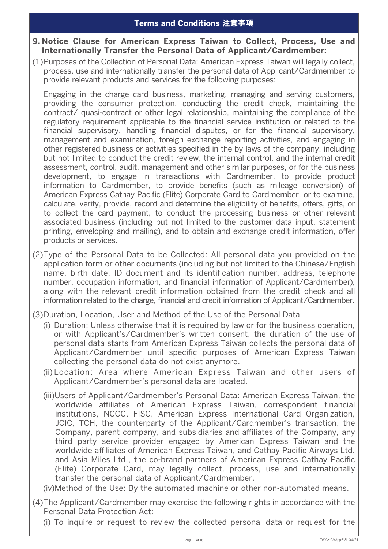#### **9. Notice Clause for American Express Taiwan to Collect, Process, Use and Internationally Transfer the Personal Data of Applicant/Cardmember:**

(1)Purposes of the Collection of Personal Data: American Express Taiwan will legally collect, process, use and internationally transfer the personal data of Applicant/Cardmember to provide relevant products and services for the following purposes:

 Engaging in the charge card business, marketing, managing and serving customers, providing the consumer protection, conducting the credit check, maintaining the contract/ quasi-contract or other legal relationship, maintaining the compliance of the regulatory requirement applicable to the financial service institution or related to the financial supervisory, handling financial disputes, or for the financial supervisory, management and examination, foreign exchange reporting activities, and engaging in other registered business or activities specified in the by-laws of the company, including but not limited to conduct the credit review, the internal control, and the internal credit assessment, control, audit, management and other similar purposes, or for the business development, to engage in transactions with Cardmember, to provide product information to Cardmember, to provide benefits (such as mileage conversion) of American Express Cathay Pacific (Elite) Corporate Card to Cardmember, or to examine, calculate, verify, provide, record and determine the eligibility of benefits, offers, gifts, or to collect the card payment, to conduct the processing business or other relevant associated business (including but not limited to the customer data input, statement printing, enveloping and mailing), and to obtain and exchange credit information, offer products or services.

(2) Type of the Personal Data to be Collected: All personal data you provided on the application form or other documents (including but not limited to the Chinese/English name, birth date, ID document and its identification number, address, telephone number, occupation information, and financial information of Applicant/Cardmember), along with the relevant credit information obtained from the credit check and all information related to the charge, financial and credit information of Applicant/Cardmember.

- (3) Duration, Location, User and Method of the Use of the Personal Data
	- (i) Duration: Unless otherwise that it is required by law or for the business operation, or with Applicant's/Cardmember's written consent, the duration of the use of personal data starts from American Express Taiwan collects the personal data of Applicant/Cardmember until specific purposes of American Express Taiwan collecting the personal data do not exist anymore.
	- (ii) Location: Area where American Express Taiwan and other users of Applicant/Cardmember's personal data are located.
	- (iii) Users of Applicant/Cardmember's Personal Data: American Express Taiwan, the worldwide affiliates of American Express Taiwan, correspondent financial institutions, NCCC, FISC, American Express International Card Organization, JCIC, TCH, the counterparty of the Applicant/Cardmember's transaction, the Company, parent company, and subsidiaries and affiliates of the Company, any third party service provider engaged by American Express Taiwan and the worldwide affiliates of American Express Taiwan, and Cathay Pacific Airways Ltd. and Asia Miles Ltd., the co-brand partners of American Express Cathay Pacific (Elite) Corporate Card, may legally collect, process, use and internationally transfer the personal data of Applicant/Cardmember.

(iv) Method of the Use: By the automated machine or other non-automated means.

- (4) The Applicant/Cardmember may exercise the following rights in accordance with the Personal Data Protection Act:
	- (i) To inquire or request to review the collected personal data or request for the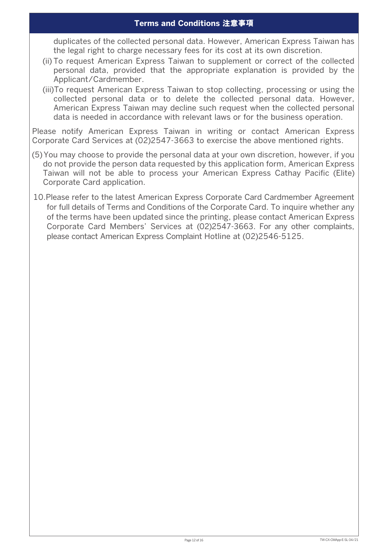duplicates of the collected personal data. However, American Express Taiwan has the legal right to charge necessary fees for its cost at its own discretion.

- (ii) To request American Express Taiwan to supplement or correct of the collected personal data, provided that the appropriate explanation is provided by the Applicant/Cardmember.
- (iii) To request American Express Taiwan to stop collecting, processing or using the collected personal data or to delete the collected personal data. However, American Express Taiwan may decline such request when the collected personal data is needed in accordance with relevant laws or for the business operation.

Please notify American Express Taiwan in writing or contact American Express Corporate Card Services at (02)2547-3663 to exercise the above mentioned rights.

- (5) You may choose to provide the personal data at your own discretion, however, if you do not provide the person data requested by this application form, American Express Taiwan will not be able to process your American Express Cathay Pacific (Elite) Corporate Card application.
- 10.Please refer to the latest American Express Corporate Card Cardmember Agreement for full details of Terms and Conditions of the Corporate Card. To inquire whether any of the terms have been updated since the printing, please contact American Express Corporate Card Members' Services at (02)2547-3663. For any other complaints, please contact American Express Complaint Hotline at (02)2546-5125.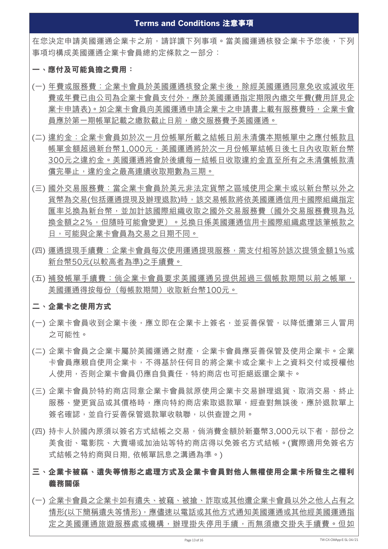在您決定申請美國運通企業卡之前,請詳讀下列事項。當美國運通核發企業卡予您後,下列 事項均構成美國運通企業卡會員總約定條款之一部分:

#### **一、應付及可能負擔之費用:**

- (一) 年費或服務費:企業卡會員於美國運通核發企業卡後,除經美國運通同意免收或減收年 費或年費已由公司為企業卡會員支付外,應於美國運通指定期限內繳交年費(費用詳見企 業卡申請表)。如企業卡會員向美國運通申請企業卡之申請書上載有服務費時,企業卡會 員應於第一期帳單記載之繳款截止日前,繳交服務費予美國運通。
- (二) 違約金:企業卡會員如於次一月份帳單所載之結帳日前未清償本期帳單中之應付帳款且 帳單金額超過新台幣1,000元,美國運通將於次一月份帳單結帳日後七日內收取新台幣 300元之違約金。美國運通將會於後續每一結帳日收取違約金直至所有之未清償帳款清 償完畢止,違約金之最高連續收取期數為三期。
- (三) 國外交易服務費:當企業卡會員於美元非法定貨幣之區域使用企業卡或以新台幣以外之 貨幣為交易(包括運通提現及辦理退款)時,該交易帳款將依美國運通信用卡國際組織指定 匯率兑換為新台幣,並加計該國際組織收取之國外交易服務費(國外交易服務費現為兑 換金額之2%,但隨時可能會變更)。兌換日係美國運通信用卡國際組織處理該筆帳款之 日,可能與企業卡會員為交易之日期不同。
- (四) 運通提現手續費:企業卡會員每次使用運通提現服務,需支付相等於該次提領金額1%或 新台幣50元(以較高者為準)之手續費。
- (五) 補發帳單手續費:倘企業卡會員要求美國運通另提供超過三個帳款期間以前之帳單, 美國運通得按每份(每帳款期間)收取新台幣100元。

### **二、 企業卡之使用方式**

- (一) 企業卡會員收到企業卡後,應立即在企業卡上簽名,並妥善保管,以降低遭第三人冒用 之可能性。
- (二) 企業卡會員之企業卡屬於美國運通之財產,企業卡會員應妥善保管及使用企業卡。企業 卡會員應親自使用企業卡,不得基於任何目的將企業卡或企業卡上之資料交付或授權他 人使用,否則企業卡會員仍應自負責任,特約商店也可拒絕返還企業卡。
- (三) 企業卡會員於特約商店同意企業卡會員就原使用企業卡交易辦理退貨、取消交易、終止 服務、變更貨品或其價格時,應向特約商店索取退款單,經查對無誤後,應於退款單上 簽名確認,並自行妥善保管退款單收執聯,以供查證之用。
- (四) 持卡人於國內原須以簽名方式結帳之交易, 倘消費金額於新臺幣3,000元以下者, 部份之 美食街、電影院、大賣場或加油站等特約商店得以免簽名方式結帳。(實際適用免簽名方 式結帳之特約商與日期, 依帳單訊息之溝通為準。)
- **三、企業卡被竊、遺失等情形之處理方式及企業卡會員對他人無權使用企業卡所發生之權利 義務關係**
- (一) 企業卡會員之企業卡如有遺失、被竊、被搶、詐取或其他遭企業卡會員以外之他人占有之 情形(以下簡稱遺失等情形),應儘速以電話或其他方式通知美國運通或其他經美國運通指 定之美國運通旅遊服務處或機構,辦理掛失停用手續,而無須繳交掛失手續費。但如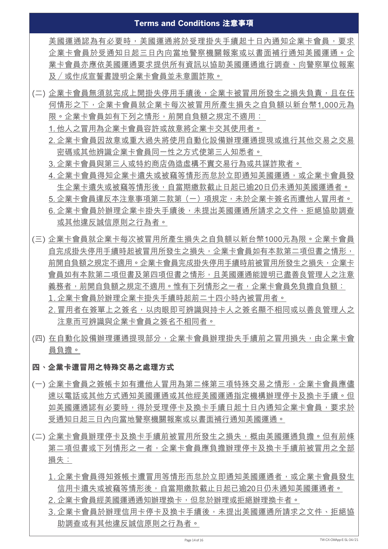美國運通認為有必要時,美國運通將於受理掛失手續起十日內通知企業卡會員,要求 企業卡會員於受通知日起三日內向當地警察機關報案或以書面補行通知美國運通。企 業卡會員亦應依美國運通要求提供所有資訊以協助美國運通進行調查、向警察單位報案 及 /或作成宣誓書證明企業卡會員並未意圖詐欺。

- (二) 企業卡會員無須就完成上開掛失停用手續後,企業卡被冒用所發生之損失負責,且在任 何情形之下,企業卡會員就企業卡每次被冒用所產生損失之自負額以新台幣1,000元為 限。企業卡會員如有下列之情形,前開自負額之規定不適用:
	- 1. 他人之冒用為企業卡會員容許或故意將企業卡交其使用者。
	- 2. 企業卡會員因故意或重大過失將使用自動化設備辦理運通提現或進行其他交易之交易 密碼或其他辨識企業卡會員同一性之方式使第三人知悉者。
	- 3. 企業卡會員與第三人或特約商店偽造虛構不實交易行為或共謀詐欺者。
	- 4. 企業卡會員得知企業卡遺失或被竊等情形而怠於立即通知美國運通, 或企業卡會員發 生企業卡遺失或被竊等情形後,自當期繳款截止日起已逾20日仍未通知美國運通者。 5. 企業卡會員違反本注意事項第二款第 (一) 項規定,未於企業卡簽名而遭他人冒用者。 6. 企業卡會員於辦理企業卡掛失手續後,未提出美國運通所請求之文件、拒絕協助調查
	- 或其他違反誠信原則之行為者。
- (三) 企業卡會員就企業卡每次被冒用所產生損失之自負額以新台幣1000元為限。企業卡會員 自完成掛失停用手續時起被冒用所發生之損失,企業卡會員如有本款第二項但書之情形, 前開自負額之規定不適用。企業卡會員完成掛失停用手續時前被冒用所發生之損失,企業卡 會員如有本款第二項但書及第四項但書之情形,且美國運通能證明已盡善良管理人之注意 義務者,前開自負額之規定不適用。惟有下列情形之一者,企業卡會員免負擔自負額: 1. 企業卡會員於辦理企業卡掛失手續時起前二十四小時內被冒用者。
	- 2. 冒用者在簽單上之簽名,以肉眼即可辨識與持卡人之簽名顯不相同或以善良管理人之 注意而可辨識與企業卡會員之簽名不相同者。
- (四) 在自動化設備辦理運通提現部分,企業卡會員辦理掛失手續前之冒用損失,由企業卡會 員負擔。
- **四、企業卡遭冒用之特殊交易之處理方式**
- (一) 企業卡會員之簽帳卡如有遭他人冒用為第二條第三項特殊交易之情形,企業卡會員應儘 速以電話或其他方式通知美國運通或其他經美國運通指定機構辦理停卡及換卡手續。但 如美國運通認有必要時,得於受理停卡及換卡手續日起十日內通知企業卡會員,要求於 受通知日起三日內向當地警察機關報案或以書面補行通知美國運通。
- (二) 企業卡會員辦理停卡及換卡手續前被冒用所發生之損失,概由美國運通負擔。但有前條 第二項但書或下列情形之一者,企業卡會員應負擔辦理停卡及換卡手續前被冒用之全部 損失:
	- 1. 企業卡會員得知簽帳卡遭冒用等情形而怠於立即通知美國運通者,或企業卡會員發生 信用卡潰失或被竊等情形後,自當期繳款截止日起已逾20日仍未通知美國運通者。
	- 2. 企業卡會員經美國運通通知辦理換卡, 但怠於辦理或拒絕辦理換卡者。
	- 3. 企業卡會員於辦理信用卡停卡及換卡手續後, 未提出美國運通所請求之文件、拒絕協 助調查或有其他違反誠信原則之行為者。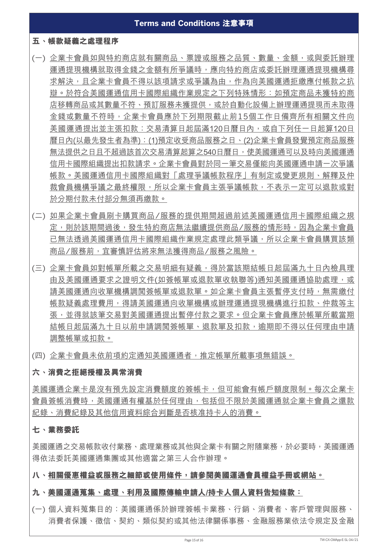#### **五、帳款疑義之處理程序**

- (一) 企業卡會員如與特約商店就有關商品、票證或服務之品質、數量、金額,或與委託辦理 運通提現機構就取得金錢之金額有所爭議時,應向特約商店或委託辦理運通提現機構尋 求解決,且企業卡會員不得以該項請求或爭議為由,作為向美國運通拒繳應付帳款之抗 辯。於符合美國運通信用卡國際組織作業規定之下列特殊情形:如預定商品未獲特約商 店移轉商品或其數量不符、預訂服務未獲提供,或於自動化設備上辦理運通提現而未取得 金錢或數量不符時,企業卡會員應於下列期限截止前15個工作日備齊所有相關文件向 美國運通提出並主張扣款:交易清算日起屆滿120日曆日內,或自下列任一日起算120日 曆日內(以最先發生者為準):(1)預定收受商品服務之日、(2)企業卡會員發覺預定商品服務 無法提供之日且不超過該首次交易清算起算之540日曆日,使美國運通可以及時向美國運通 信用卡國際組織提出扣款請求。企業卡會員對於同一筆交易僅能向美國運通申請一次爭議 帳款。美國運通信用卡國際組織對「處理爭議帳款程序」有制定或變更規則、解釋及仲 裁會員機構爭議之最終權限,所以企業卡會員主張爭議帳款,不表示一定可以退款或對 於分期付款未付部分無須再繳款。
- (二) 如果企業卡會員刷卡購買商品/服務的提供期間超過前述美國運通信用卡國際組織之規 定,則於該期間過後,發生特約商店無法繼續提供商品/服務的情形時,因為企業卡會員 已無法透過美國運通信用卡國際組織作業規定處理此類爭議,所以企業卡會員購買該類 商品/服務前,宜審慎評估將來無法獲得商品/服務之風險。
- (三) 企業卡會員如對帳單所載之交易明細有疑義,得於當該期結帳日起屆滿九十日內檢具理 由及美國運通要求之證明文件(如簽帳單或退款單收執聯等)通知美國運通協助處理,或 請美國運通向收單機構調閲簽帳單或退款單。如企業卡會員主張暫停支付時,無需繳付 帳款疑義處理費用,得請美國運通向收單機構或辦理運通提現機構進行扣款、仲裁等主 張,並得就該筆交易對美國運通提出暫停付款之要求。但企業卡會員應於帳單所載當期 結帳日起屆滿九十日以前申請調閱簽帳單、退款單及扣款,逾期即不得以任何理由申請 調整帳單或扣款。
- (四) 企業卡會員未依前項約定通知美國運通者,推定帳單所載事項無錯誤。

#### **六、消費之拒絕授權及異常消費**

美國運通企業卡是沒有預先設定消費額度的簽帳卡,但可能會有帳戶額度限制。每次企業卡 會員簽帳消費時,美國運通有權基於任何理由,包括但不限於美國運通就企業卡會員之還款 紀錄、消費紀錄及其他信用資料綜合判斷是否核准持卡人的消費。

#### **七、業務委託**

美國運通之交易帳款收付業務、處理業務或其他與企業卡有關之附隨業務,於必要時,美國運通 得依法委託美國運通集團或其他適當之第三人合作辦理。

#### **八、相關優惠權益或服務之細節或使用條件,請參閱美國運通會員權益手冊或網站。**

#### **九、美國運通蒐集、處理、利用及國際傳輸申請人/持卡人個人資料告知條款:**

(一) 個人資料蒐集目的:美國運通係於辦理簽帳卡業務、行銷、消費者、客戶管理與服務、 消費者保護、徵信、契約、類似契約或其他法律關係事務、金融服務業依法令規定及金融